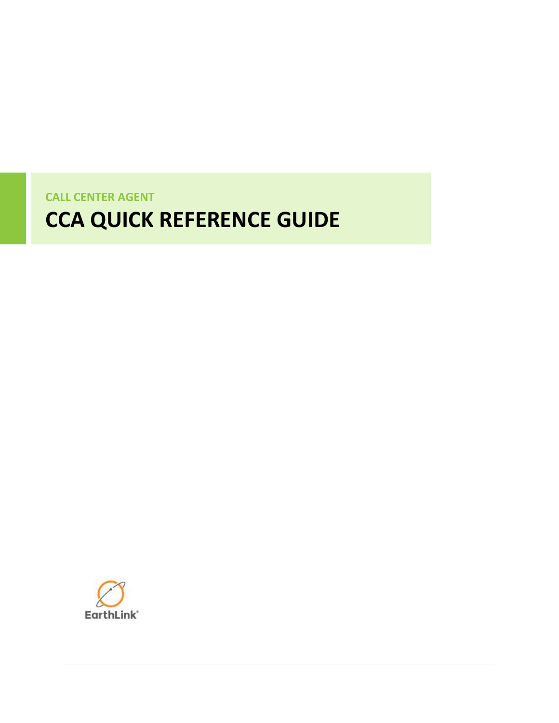**CALL CENTER AGENT**

# **CCA QUICK REFERENCE GUIDE**

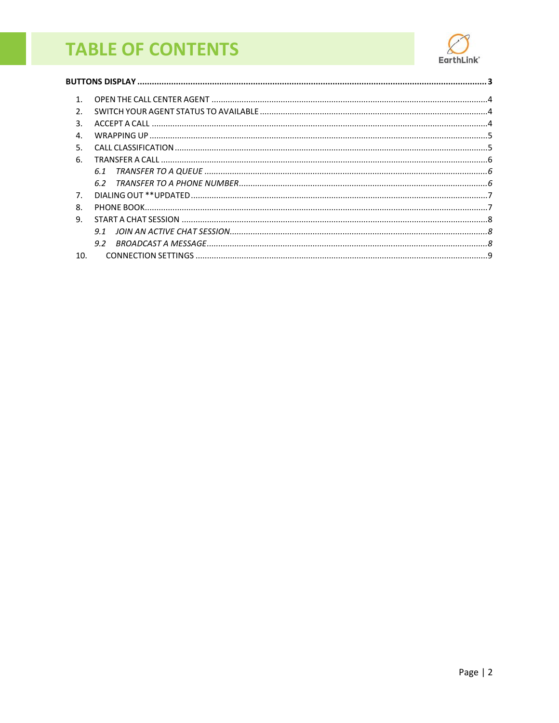## <span id="page-1-0"></span>**TABLE OF CONTENTS**



| $\mathbf{1}$   |     |  |
|----------------|-----|--|
| $\mathcal{P}$  |     |  |
| २              |     |  |
| $\mathbf{4}$   |     |  |
| .5.            |     |  |
| 6.             |     |  |
|                | 6.1 |  |
|                |     |  |
| 7 <sub>1</sub> |     |  |
| ጸ              |     |  |
| 9.             |     |  |
|                | 9.1 |  |
|                | 9.2 |  |
| 10.            |     |  |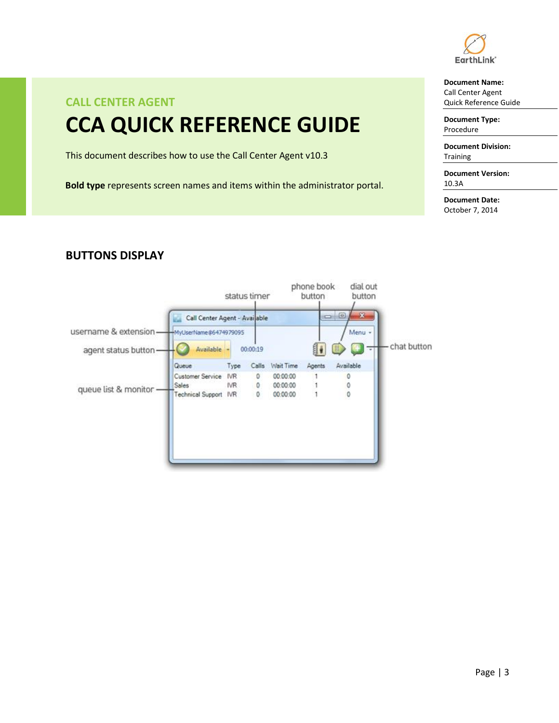

#### **Document Name:**

Call Center Agent Quick Reference Guide

**Document Type:** Procedure

**Document Division: Training** 

**Document Version:** 10.3A

**Document Date:** October 7, 2014

### **CALL CENTER AGENT CCA QUICK REFERENCE GUIDE**

This document describes how to use the Call Center Agent v10.3

**Bold type** represents screen names and items within the administrator portal.

#### phone book dial out status timer button button  $= 0$ 53 Call Center Agent - Avai able username & extension-MyUserName@6474979095 Menu -- chat button 组. 00:00:19 agent status button-Available Queue Type Calls Wait Time Agents Available Customer Service IVR  $\mathbb O$ 00:00:00  $\mathbf{1}$  $\overline{0}$ Sales IVR. 0 00:00:00 1  $\mathbf 0$ queue list & monitor -00:00:00  $\ddot{\mathbf{0}}$ Technical Support IVR 0 1

#### <span id="page-2-0"></span>**BUTTONS DISPLAY**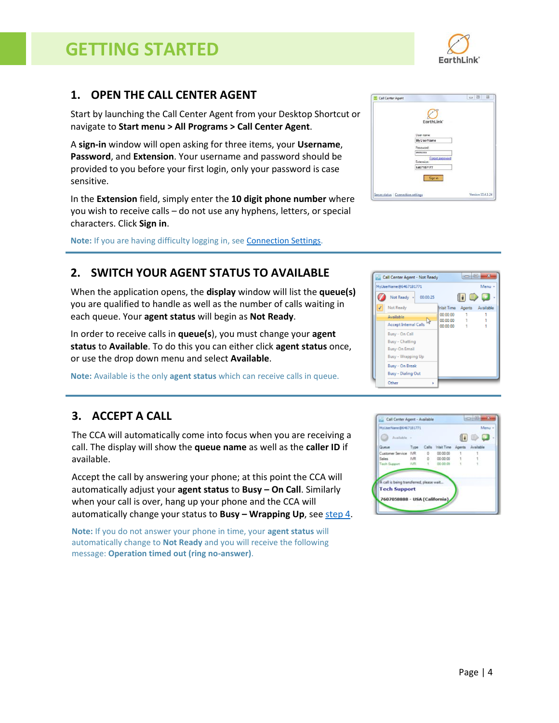### **GETTING STARTED**

#### <span id="page-3-0"></span>**1. OPEN THE CALL CENTER AGENT**

Start by launching the Call Center Agent from your Desktop Shortcut or navigate to **Start menu > All Programs > Call Center Agent**.

A **sign-in** window will open asking for three items, your **Username**, **Password**, and **Extension**. Your username and password should be provided to you before your first login, only your password is case sensitive.

In the **Extension** field, simply enter the **10 digit phone number** where you wish to receive calls – do not use any hyphens, letters, or special characters. Click **Sign in**.

**Note:** If you are having difficulty logging in, see [Connection Settings.](#page-8-0)

### <span id="page-3-1"></span>**2. SWITCH YOUR AGENT STATUS TO AVAILABLE**

When the application opens, the **display** window will list the **queue(s)** you are qualified to handle as well as the number of calls waiting in each queue. Your **agent status** will begin as **Not Ready**.

In order to receive calls in **queue(s**), you must change your **agent status** to **Available**. To do this you can either click **agent status** once, or use the drop down menu and select **Available**.

**Note:** Available is the only **agent status** which can receive calls in queue.

### <span id="page-3-2"></span>**3. ACCEPT A CALL**

The CCA will automatically come into focus when you are receiving a call. The display will show the **queue name** as well as the **caller ID** if available.

Accept the call by answering your phone; at this point the CCA will automatically adjust your **agent status** to **Busy – On Call**. Similarly when your call is over, hang up your phone and the CCA will automatically change your status to **Busy – Wrapping Up**, se[e step 4.](#page-4-0)

**Note:** If you do not answer your phone in time, your **agent status** will automatically change to **Not Ready** and you will receive the following message: **Operation timed out (ring no-answer)**.

| EarthLink <sup>*</sup>        |  |
|-------------------------------|--|
|                               |  |
| User name:                    |  |
| <b>MyUserName</b>             |  |
| Password:                     |  |
| ********                      |  |
| Forgot password<br>Extension: |  |
| 6467187177                    |  |
| Sign in                       |  |
|                               |  |





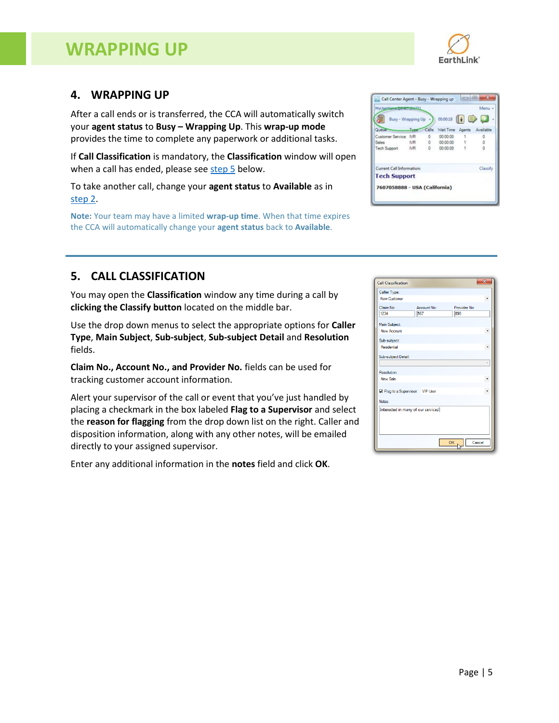### **WRAPPING UP**



#### <span id="page-4-0"></span>**4. WRAPPING UP**

After a call ends or is transferred, the CCA will automatically switch your **agent status** to **Busy – Wrapping Up**. This **wrap-up mode** provides the time to complete any paperwork or additional tasks.

If **Call Classification** is mandatory, the **Classification** window will open when a call has ended, please see [step 5](#page-4-1) below.

To take another call, change your **agent status** to **Available** as in [step 2.](#page-3-1)

**Note:** Your team may have a limited **wrap-up time**. When that time expires the CCA will automatically change your **agent status** back to **Available**.

| Available |
|-----------|
|           |
|           |
|           |
|           |
| Classify  |
|           |
|           |

#### <span id="page-4-1"></span>**5. CALL CLASSIFICATION**

You may open the **Classification** window any time during a call by **clicking the Classify button** located on the middle bar.

Use the drop down menus to select the appropriate options for **Caller Type**, **Main Subject**, **Sub-subject**, **Sub-subject Detail** and **Resolution** fields.

**Claim No., Account No., and Provider No.** fields can be used for tracking customer account information.

Alert your supervisor of the call or event that you've just handled by placing a checkmark in the box labeled **Flag to a Supervisor** and select the **reason for flagging** from the drop down list on the right. Caller and disposition information, along with any other notes, will be emailed directly to your assigned supervisor.

Enter any additional information in the **notes** field and click **OK**.

| Caller Type:<br>New Customer<br>Claim No:<br>Account No:<br>Provider No:<br>1234<br>567<br>890<br>Main Subject:<br>New Account<br>Sub-subject:<br>Residential<br>Sub-subject Detail:<br>Resolution:<br>New Sale<br>Flag to a Supervisor: VIP User<br>Notes:<br>Interested in many of our services! |  |  |  |
|----------------------------------------------------------------------------------------------------------------------------------------------------------------------------------------------------------------------------------------------------------------------------------------------------|--|--|--|
|                                                                                                                                                                                                                                                                                                    |  |  |  |
|                                                                                                                                                                                                                                                                                                    |  |  |  |
|                                                                                                                                                                                                                                                                                                    |  |  |  |
|                                                                                                                                                                                                                                                                                                    |  |  |  |
|                                                                                                                                                                                                                                                                                                    |  |  |  |
|                                                                                                                                                                                                                                                                                                    |  |  |  |
|                                                                                                                                                                                                                                                                                                    |  |  |  |
|                                                                                                                                                                                                                                                                                                    |  |  |  |
|                                                                                                                                                                                                                                                                                                    |  |  |  |
|                                                                                                                                                                                                                                                                                                    |  |  |  |
|                                                                                                                                                                                                                                                                                                    |  |  |  |
|                                                                                                                                                                                                                                                                                                    |  |  |  |
|                                                                                                                                                                                                                                                                                                    |  |  |  |
|                                                                                                                                                                                                                                                                                                    |  |  |  |
|                                                                                                                                                                                                                                                                                                    |  |  |  |
|                                                                                                                                                                                                                                                                                                    |  |  |  |
|                                                                                                                                                                                                                                                                                                    |  |  |  |
|                                                                                                                                                                                                                                                                                                    |  |  |  |
| Cancel<br>OK                                                                                                                                                                                                                                                                                       |  |  |  |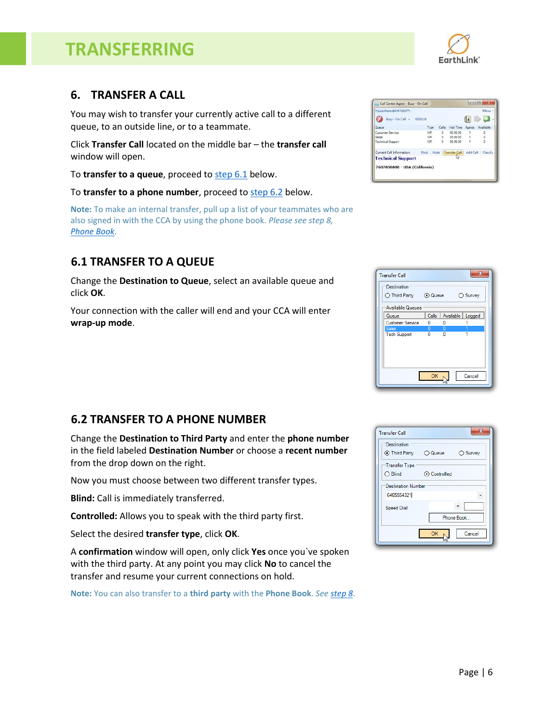### **TRANSFERRING**

#### <span id="page-5-0"></span>**6. TRANSFER A CALL**

You may wish to transfer your currently active call to a different queue, to an outside line, or to a teammate.

Click **Transfer Call** located on the middle bar – the **transfer call** window will open.

To **transfer to a queue**, proceed to [step 6.1](#page-5-1) below.

To **transfer to a phone number**, proceed to [step 6.2](#page-5-2) below.

**Note:** To make an internal transfer, pull up a list of your teammates who are also signed in with the CCA by using the phone book. *Please see step 8, [Phone Book](#page-6-1)*.

#### <span id="page-5-1"></span>**6.1 TRANSFER TO A QUEUE**

Change the **Destination to Queue**, select an available queue and click **OK**.

Your connection with the caller will end and your CCA will enter **wrap-up mode**.

#### <span id="page-5-2"></span>**6.2 TRANSFER TO A PHONE NUMBER**

Change the **Destination to Third Party** and enter the **phone number** in the field labeled **Destination Number** or choose a **recent number** from the drop down on the right.

Now you must choose between two different transfer types.

**Blind:** Call is immediately transferred.

**Controlled:** Allows you to speak with the third party first.

Select the desired **transfer type**, click **OK**.

A **confirmation** window will open, only click **Yes** once you`ve spoken with the third party. At any point you may click **No** to cancel the transfer and resume your current connections on hold.

**Note:** You can also transfer to a **third party** with the **Phone Book**. *See [step 8](#page-6-1)*.

| MyUserName (56467181771)      |            |         |                    |              | Menu -    |
|-------------------------------|------------|---------|--------------------|--------------|-----------|
| Busy - On Call -              | 00:01:10   |         |                    |              |           |
| Queue                         | Type       | Calls   | Wait Time          | Agents       | Available |
| Customer Service              | <b>IVR</b> | 0       | 00:00:00           |              | 0         |
| <b>Sales</b>                  | <b>IVR</b> | 0       | 00:00:00           | $\mathbf{1}$ | 0         |
| <b>Technical Support</b>      | <b>IVR</b> | $\circ$ | 00:00:00           |              | o         |
| Current Call Information:     | Hold       |         | Mute Transfer Call | Add Call     | Classify  |
| <b>Technical Support</b>      |            |         |                    |              |           |
| 7607058888 - USA (California) |            |         |                    |              |           |



| <b>Transfer Call</b>                    | $\mathbf{x}$ |
|-----------------------------------------|--------------|
| Destination<br>⊙ Third Party ○ Queue    | ◯ Survey     |
| Transfer Type<br>$\bigcirc$ Blind       | ⊙ Controlled |
| <b>Destination Number</b><br>6465554321 |              |
| <b>Speed Dial:</b>                      | Phone Book   |
|                                         | Cancel<br>OK |

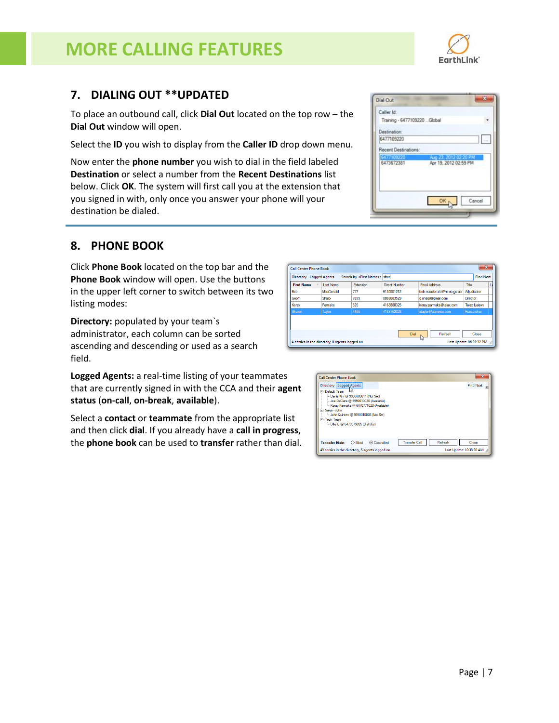### **MORE CALLING FEATURES**

#### <span id="page-6-0"></span>**7. DIALING OUT \*\*UPDATED**

To place an outbound call, click **Dial Out** located on the top row – the **Dial Out** window will open.

Select the **ID** you wish to display from the **Caller ID** drop down menu.

Now enter the **phone number** you wish to dial in the field labeled **Destination** or select a number from the **Recent Destinations** list below. Click **OK**. The system will first call you at the extension that you signed in with, only once you answer your phone will your destination be dialed.

#### <span id="page-6-1"></span>**8. PHONE BOOK**

Click **Phone Book** located on the top bar and the **Phone Book** window will open. Use the buttons in the upper left corner to switch between its two listing modes:

**Directory:** populated by your team`s administrator, each column can be sorted ascending and descending or used as a search field.

**Logged Agents:** a real-time listing of your teammates that are currently signed in with the CCA and their **agent status** (**on-call**, **on-break**, **available**).

Select a **contact** or **teammate** from the appropriate list and then click **dial**. If you already have a **call in progress**, the **phone book** can be used to **transfer** rather than dial.

Call Center Phone Book Directory Logged Agents Search by <First Name>: shar **Find Next** First Name / Last Name Direct Number Email Address Extension MacDonald  $\overline{m}$ 6135551212 donald@hs-sc.gc.ca Adjudicato hoh mac Sham 7899 8888083529 g.sharp@gmail.com Director .<br>Geoff Parmaks 820 4168880325 korav.parmaks@telax.com **Telax Liaison** Koray  $Diab$ Refresh | Close 4 entries in the directory. 0 agents logged or Last Undate: 06:02:32 PM

| Directory   Logged Agents                                                                                                                                                                                                                                       | <b>Find Next</b> |
|-----------------------------------------------------------------------------------------------------------------------------------------------------------------------------------------------------------------------------------------------------------------|------------------|
| <b>F</b> -Default Team<br>- Danis Kim @ 9990000611 (Not Set)<br>-- Joe DeClara @ 9990010020 (Available)<br>Korav Parmaks @ 6470771020 (Available)<br>Fi-Sales - John<br>-John Quinten @ 9990010008 (Not Set)<br>Fi-Tech Team<br>Ollie O @ 6470979095 (Dial Out) |                  |
|                                                                                                                                                                                                                                                                 |                  |



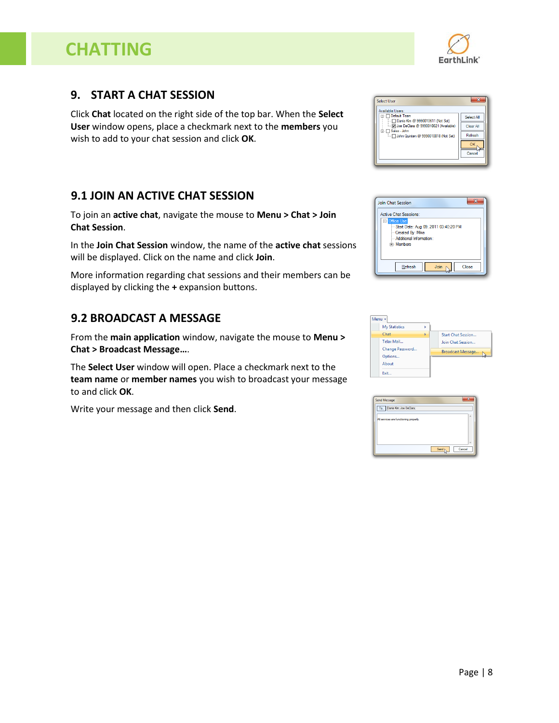### **CHATTING**

Page | 8

#### <span id="page-7-0"></span>**9. START A CHAT SESSION**

Click **Chat** located on the right side of the top bar. When the **Select User** window opens, place a checkmark next to the **members** you wish to add to your chat session and click **OK**.

#### <span id="page-7-1"></span>**9.1 JOIN AN ACTIVE CHAT SESSION**

To join an **active chat**, navigate the mouse to **Menu > Chat > Join Chat Session**.

In the **Join Chat Session** window, the name of the **active chat** sessions will be displayed. Click on the name and click **Join**.

More information regarding chat sessions and their members can be displayed by clicking the **+** expansion buttons.

#### <span id="page-7-2"></span>**9.2 BROADCAST A MESSAGE**

From the **main application** window, navigate the mouse to **Menu > Chat > Broadcast Message…**.

The **Select User** window will open. Place a checkmark next to the **team name** or **member names** you wish to broadcast your message to and click **OK**.

Write your message and then click **Send**.



Start Date: Aug 09, 2011 03:40:20 PM

Join  $\mathbb{N}$ 

Join Chat Session Active Chat Sessions:

Exit.

-Created Bv: Mike Additional Information Fi-Members

 $Re$ fresh







 $\mathbf{x}$ 

Close